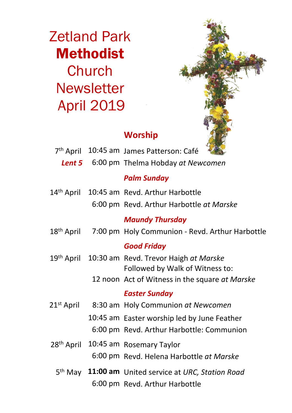Zetland Park Methodist **Church Newsletter** April 2019



# **Worship**

|                        | 7 <sup>th</sup> April 10:45 am James Patterson: Café             |  |
|------------------------|------------------------------------------------------------------|--|
| Lent 5                 | 6:00 pm Thelma Hobday at Newcomen                                |  |
|                        | <b>Palm Sunday</b>                                               |  |
| 14 <sup>th</sup> April | 10:45 am Revd. Arthur Harbottle                                  |  |
|                        | 6:00 pm Revd. Arthur Harbottle at Marske                         |  |
|                        | <b>Maundy Thursday</b>                                           |  |
| 18 <sup>th</sup> April | 7:00 pm Holy Communion - Revd. Arthur Harbottle                  |  |
|                        | <b>Good Friday</b>                                               |  |
| 19 <sup>th</sup> April | 10:30 am Revd. Trevor Haigh at Marske                            |  |
|                        | Followed by Walk of Witness to:                                  |  |
|                        | 12 noon Act of Witness in the square at Marske                   |  |
|                        | <b>Easter Sunday</b>                                             |  |
| 21 <sup>st</sup> April | 8:30 am Holy Communion at Newcomen                               |  |
|                        | 10:45 am Easter worship led by June Feather                      |  |
|                        | 6:00 pm Revd. Arthur Harbottle: Communion                        |  |
| 28 <sup>th</sup> April | 10:45 am Rosemary Taylor                                         |  |
|                        | 6:00 pm Revd. Helena Harbottle at Marske                         |  |
|                        | 5 <sup>th</sup> May 11:00 am United service at URC, Station Road |  |
|                        | 6:00 pm Revd. Arthur Harbottle                                   |  |
|                        |                                                                  |  |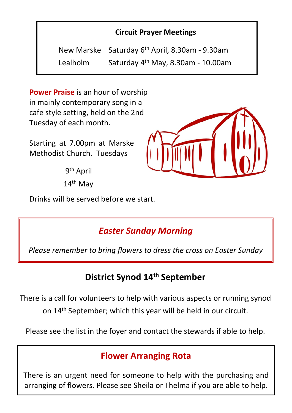#### **Circuit Prayer Meetings**

New Marske Saturday 6th April, 8.30am - 9.30am Lealholm Saturday 4th May, 8.30am - 10.00am

**Power Praise** is an hour of worship in mainly contemporary song in a cafe style setting, held on the 2nd Tuesday of each month.

Starting at 7.00pm at Marske Methodist Church. Tuesdays

> 9th April 14th May

Drinks will be served before we start.

*Easter Sunday Morning*

*Please remember to bring flowers to dress the cross on Easter Sunday*

## **District Synod 14th September**

There is a call for volunteers to help with various aspects or running synod on 14th September; which this year will be held in our circuit.

Please see the list in the foyer and contact the stewards if able to help.

## **Flower Arranging Rota**

There is an urgent need for someone to help with the purchasing and arranging of flowers. Please see Sheila or Thelma if you are able to help.

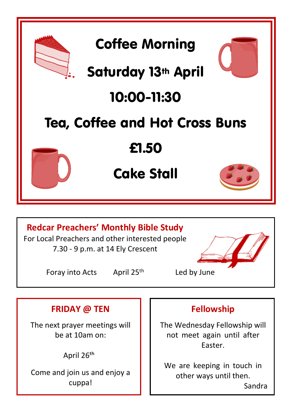

Foray into Acts April 25<sup>th</sup> Led by June

### **FRIDAY @ TEN**

The next prayer meetings will be at 10am on:

April 26th

Come and join us and enjoy a cuppa!

### **Fellowship**

The Wednesday Fellowship will not meet again until after Easter.

We are keeping in touch in other ways until then. Sandra